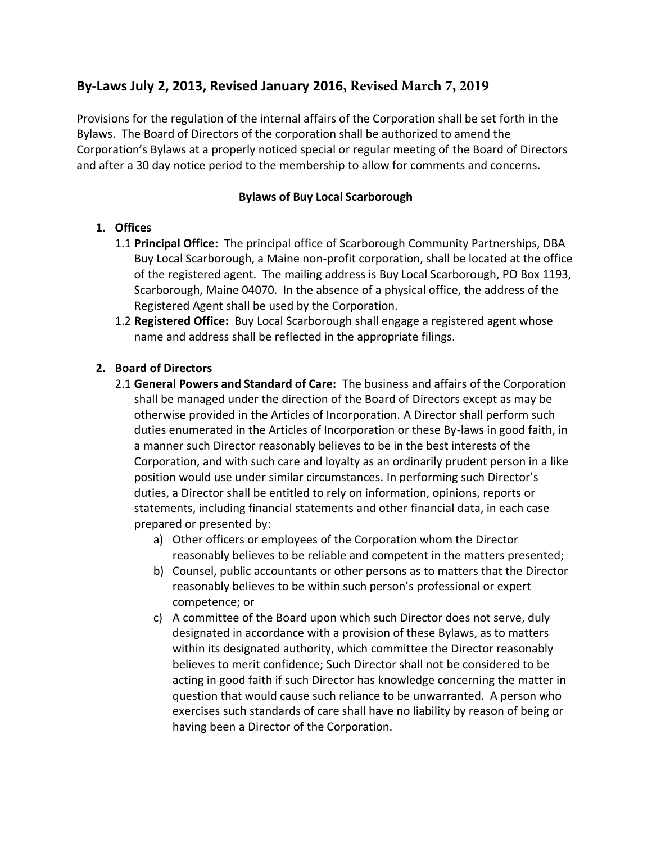# **By-Laws July 2, 2013, Revised January 2016, Revised March 7, 2019**

Provisions for the regulation of the internal affairs of the Corporation shall be set forth in the Bylaws. The Board of Directors of the corporation shall be authorized to amend the Corporation's Bylaws at a properly noticed special or regular meeting of the Board of Directors and after a 30 day notice period to the membership to allow for comments and concerns.

### **Bylaws of Buy Local Scarborough**

## **1. Offices**

- 1.1 **Principal Office:** The principal office of Scarborough Community Partnerships, DBA Buy Local Scarborough, a Maine non-profit corporation, shall be located at the office of the registered agent. The mailing address is Buy Local Scarborough, PO Box 1193, Scarborough, Maine 04070. In the absence of a physical office, the address of the Registered Agent shall be used by the Corporation.
- 1.2 **Registered Office:** Buy Local Scarborough shall engage a registered agent whose name and address shall be reflected in the appropriate filings.

### **2. Board of Directors**

- 2.1 **General Powers and Standard of Care:** The business and affairs of the Corporation shall be managed under the direction of the Board of Directors except as may be otherwise provided in the Articles of Incorporation. A Director shall perform such duties enumerated in the Articles of Incorporation or these By-laws in good faith, in a manner such Director reasonably believes to be in the best interests of the Corporation, and with such care and loyalty as an ordinarily prudent person in a like position would use under similar circumstances. In performing such Director's duties, a Director shall be entitled to rely on information, opinions, reports or statements, including financial statements and other financial data, in each case prepared or presented by:
	- a) Other officers or employees of the Corporation whom the Director reasonably believes to be reliable and competent in the matters presented;
	- b) Counsel, public accountants or other persons as to matters that the Director reasonably believes to be within such person's professional or expert competence; or
	- c) A committee of the Board upon which such Director does not serve, duly designated in accordance with a provision of these Bylaws, as to matters within its designated authority, which committee the Director reasonably believes to merit confidence; Such Director shall not be considered to be acting in good faith if such Director has knowledge concerning the matter in question that would cause such reliance to be unwarranted. A person who exercises such standards of care shall have no liability by reason of being or having been a Director of the Corporation.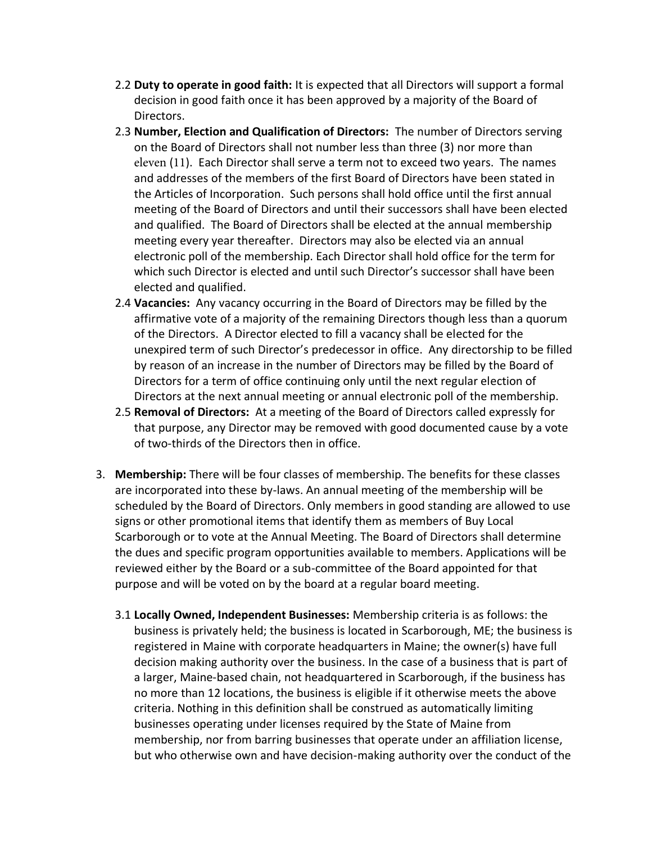- 2.2 **Duty to operate in good faith:** It is expected that all Directors will support a formal decision in good faith once it has been approved by a majority of the Board of Directors.
- 2.3 **Number, Election and Qualification of Directors:** The number of Directors serving on the Board of Directors shall not number less than three (3) nor more than eleven (11). Each Director shall serve a term not to exceed two years. The names and addresses of the members of the first Board of Directors have been stated in the Articles of Incorporation. Such persons shall hold office until the first annual meeting of the Board of Directors and until their successors shall have been elected and qualified. The Board of Directors shall be elected at the annual membership meeting every year thereafter. Directors may also be elected via an annual electronic poll of the membership. Each Director shall hold office for the term for which such Director is elected and until such Director's successor shall have been elected and qualified.
- 2.4 **Vacancies:** Any vacancy occurring in the Board of Directors may be filled by the affirmative vote of a majority of the remaining Directors though less than a quorum of the Directors. A Director elected to fill a vacancy shall be elected for the unexpired term of such Director's predecessor in office. Any directorship to be filled by reason of an increase in the number of Directors may be filled by the Board of Directors for a term of office continuing only until the next regular election of Directors at the next annual meeting or annual electronic poll of the membership.
- 2.5 **Removal of Directors:** At a meeting of the Board of Directors called expressly for that purpose, any Director may be removed with good documented cause by a vote of two-thirds of the Directors then in office.
- 3. **Membership:** There will be four classes of membership. The benefits for these classes are incorporated into these by-laws. An annual meeting of the membership will be scheduled by the Board of Directors. Only members in good standing are allowed to use signs or other promotional items that identify them as members of Buy Local Scarborough or to vote at the Annual Meeting. The Board of Directors shall determine the dues and specific program opportunities available to members. Applications will be reviewed either by the Board or a sub-committee of the Board appointed for that purpose and will be voted on by the board at a regular board meeting.
	- 3.1 **Locally Owned, Independent Businesses:** Membership criteria is as follows: the business is privately held; the business is located in Scarborough, ME; the business is registered in Maine with corporate headquarters in Maine; the owner(s) have full decision making authority over the business. In the case of a business that is part of a larger, Maine-based chain, not headquartered in Scarborough, if the business has no more than 12 locations, the business is eligible if it otherwise meets the above criteria. Nothing in this definition shall be construed as automatically limiting businesses operating under licenses required by the State of Maine from membership, nor from barring businesses that operate under an affiliation license, but who otherwise own and have decision-making authority over the conduct of the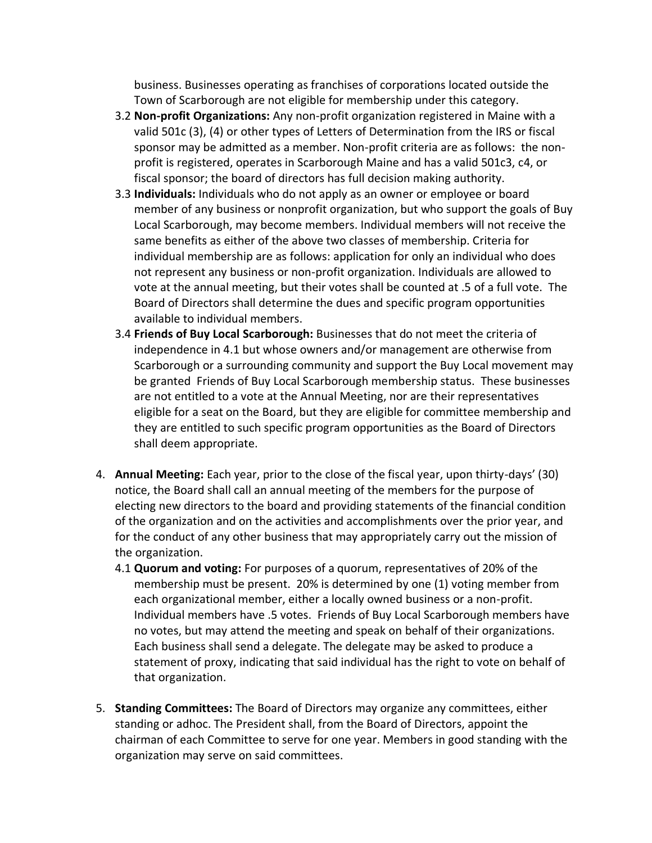business. Businesses operating as franchises of corporations located outside the Town of Scarborough are not eligible for membership under this category.

- 3.2 **Non-profit Organizations:** Any non-profit organization registered in Maine with a valid 501c (3), (4) or other types of Letters of Determination from the IRS or fiscal sponsor may be admitted as a member. Non-profit criteria are as follows: the nonprofit is registered, operates in Scarborough Maine and has a valid 501c3, c4, or fiscal sponsor; the board of directors has full decision making authority.
- 3.3 **Individuals:** Individuals who do not apply as an owner or employee or board member of any business or nonprofit organization, but who support the goals of Buy Local Scarborough, may become members. Individual members will not receive the same benefits as either of the above two classes of membership. Criteria for individual membership are as follows: application for only an individual who does not represent any business or non-profit organization. Individuals are allowed to vote at the annual meeting, but their votes shall be counted at .5 of a full vote. The Board of Directors shall determine the dues and specific program opportunities available to individual members.
- 3.4 **Friends of Buy Local Scarborough:** Businesses that do not meet the criteria of independence in 4.1 but whose owners and/or management are otherwise from Scarborough or a surrounding community and support the Buy Local movement may be granted Friends of Buy Local Scarborough membership status. These businesses are not entitled to a vote at the Annual Meeting, nor are their representatives eligible for a seat on the Board, but they are eligible for committee membership and they are entitled to such specific program opportunities as the Board of Directors shall deem appropriate.
- 4. **Annual Meeting:** Each year, prior to the close of the fiscal year, upon thirty-days' (30) notice, the Board shall call an annual meeting of the members for the purpose of electing new directors to the board and providing statements of the financial condition of the organization and on the activities and accomplishments over the prior year, and for the conduct of any other business that may appropriately carry out the mission of the organization.
	- 4.1 **Quorum and voting:** For purposes of a quorum, representatives of 20% of the membership must be present. 20% is determined by one (1) voting member from each organizational member, either a locally owned business or a non-profit. Individual members have .5 votes. Friends of Buy Local Scarborough members have no votes, but may attend the meeting and speak on behalf of their organizations. Each business shall send a delegate. The delegate may be asked to produce a statement of proxy, indicating that said individual has the right to vote on behalf of that organization.
- 5. **Standing Committees:** The Board of Directors may organize any committees, either standing or adhoc. The President shall, from the Board of Directors, appoint the chairman of each Committee to serve for one year. Members in good standing with the organization may serve on said committees.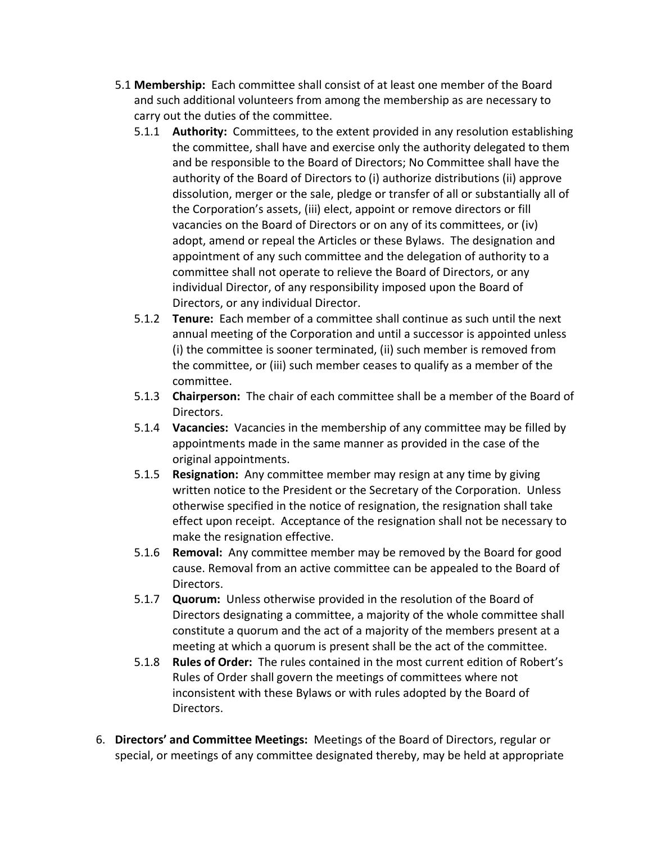- 5.1 **Membership:** Each committee shall consist of at least one member of the Board and such additional volunteers from among the membership as are necessary to carry out the duties of the committee.
	- 5.1.1 **Authority:** Committees, to the extent provided in any resolution establishing the committee, shall have and exercise only the authority delegated to them and be responsible to the Board of Directors; No Committee shall have the authority of the Board of Directors to (i) authorize distributions (ii) approve dissolution, merger or the sale, pledge or transfer of all or substantially all of the Corporation's assets, (iii) elect, appoint or remove directors or fill vacancies on the Board of Directors or on any of its committees, or (iv) adopt, amend or repeal the Articles or these Bylaws. The designation and appointment of any such committee and the delegation of authority to a committee shall not operate to relieve the Board of Directors, or any individual Director, of any responsibility imposed upon the Board of Directors, or any individual Director.
	- 5.1.2 **Tenure:** Each member of a committee shall continue as such until the next annual meeting of the Corporation and until a successor is appointed unless (i) the committee is sooner terminated, (ii) such member is removed from the committee, or (iii) such member ceases to qualify as a member of the committee.
	- 5.1.3 **Chairperson:** The chair of each committee shall be a member of the Board of Directors.
	- 5.1.4 **Vacancies:** Vacancies in the membership of any committee may be filled by appointments made in the same manner as provided in the case of the original appointments.
	- 5.1.5 **Resignation:** Any committee member may resign at any time by giving written notice to the President or the Secretary of the Corporation. Unless otherwise specified in the notice of resignation, the resignation shall take effect upon receipt. Acceptance of the resignation shall not be necessary to make the resignation effective.
	- 5.1.6 **Removal:** Any committee member may be removed by the Board for good cause. Removal from an active committee can be appealed to the Board of Directors.
	- 5.1.7 **Quorum:** Unless otherwise provided in the resolution of the Board of Directors designating a committee, a majority of the whole committee shall constitute a quorum and the act of a majority of the members present at a meeting at which a quorum is present shall be the act of the committee.
	- 5.1.8 **Rules of Order:** The rules contained in the most current edition of Robert's Rules of Order shall govern the meetings of committees where not inconsistent with these Bylaws or with rules adopted by the Board of Directors.
- 6. **Directors' and Committee Meetings:** Meetings of the Board of Directors, regular or special, or meetings of any committee designated thereby, may be held at appropriate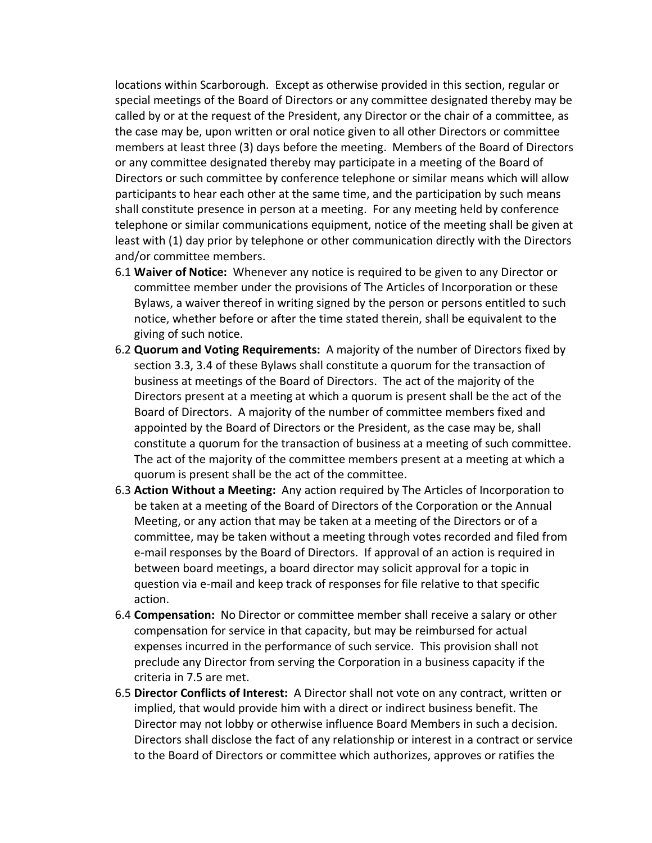locations within Scarborough. Except as otherwise provided in this section, regular or special meetings of the Board of Directors or any committee designated thereby may be called by or at the request of the President, any Director or the chair of a committee, as the case may be, upon written or oral notice given to all other Directors or committee members at least three (3) days before the meeting. Members of the Board of Directors or any committee designated thereby may participate in a meeting of the Board of Directors or such committee by conference telephone or similar means which will allow participants to hear each other at the same time, and the participation by such means shall constitute presence in person at a meeting. For any meeting held by conference telephone or similar communications equipment, notice of the meeting shall be given at least with (1) day prior by telephone or other communication directly with the Directors and/or committee members.

- 6.1 **Waiver of Notice:** Whenever any notice is required to be given to any Director or committee member under the provisions of The Articles of Incorporation or these Bylaws, a waiver thereof in writing signed by the person or persons entitled to such notice, whether before or after the time stated therein, shall be equivalent to the giving of such notice.
- 6.2 **Quorum and Voting Requirements:** A majority of the number of Directors fixed by section 3.3, 3.4 of these Bylaws shall constitute a quorum for the transaction of business at meetings of the Board of Directors. The act of the majority of the Directors present at a meeting at which a quorum is present shall be the act of the Board of Directors. A majority of the number of committee members fixed and appointed by the Board of Directors or the President, as the case may be, shall constitute a quorum for the transaction of business at a meeting of such committee. The act of the majority of the committee members present at a meeting at which a quorum is present shall be the act of the committee.
- 6.3 **Action Without a Meeting:** Any action required by The Articles of Incorporation to be taken at a meeting of the Board of Directors of the Corporation or the Annual Meeting, or any action that may be taken at a meeting of the Directors or of a committee, may be taken without a meeting through votes recorded and filed from e-mail responses by the Board of Directors. If approval of an action is required in between board meetings, a board director may solicit approval for a topic in question via e-mail and keep track of responses for file relative to that specific action.
- 6.4 **Compensation:** No Director or committee member shall receive a salary or other compensation for service in that capacity, but may be reimbursed for actual expenses incurred in the performance of such service. This provision shall not preclude any Director from serving the Corporation in a business capacity if the criteria in 7.5 are met.
- 6.5 **Director Conflicts of Interest:** A Director shall not vote on any contract, written or implied, that would provide him with a direct or indirect business benefit. The Director may not lobby or otherwise influence Board Members in such a decision. Directors shall disclose the fact of any relationship or interest in a contract or service to the Board of Directors or committee which authorizes, approves or ratifies the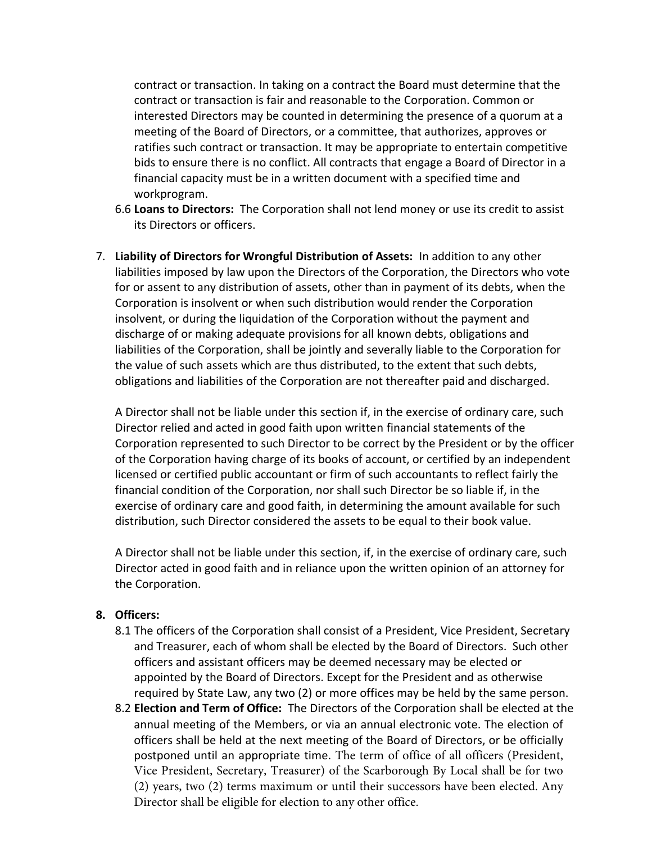contract or transaction. In taking on a contract the Board must determine that the contract or transaction is fair and reasonable to the Corporation. Common or interested Directors may be counted in determining the presence of a quorum at a meeting of the Board of Directors, or a committee, that authorizes, approves or ratifies such contract or transaction. It may be appropriate to entertain competitive bids to ensure there is no conflict. All contracts that engage a Board of Director in a financial capacity must be in a written document with a specified time and workprogram.

- 6.6 **Loans to Directors:** The Corporation shall not lend money or use its credit to assist its Directors or officers.
- 7. **Liability of Directors for Wrongful Distribution of Assets:** In addition to any other liabilities imposed by law upon the Directors of the Corporation, the Directors who vote for or assent to any distribution of assets, other than in payment of its debts, when the Corporation is insolvent or when such distribution would render the Corporation insolvent, or during the liquidation of the Corporation without the payment and discharge of or making adequate provisions for all known debts, obligations and liabilities of the Corporation, shall be jointly and severally liable to the Corporation for the value of such assets which are thus distributed, to the extent that such debts, obligations and liabilities of the Corporation are not thereafter paid and discharged.

A Director shall not be liable under this section if, in the exercise of ordinary care, such Director relied and acted in good faith upon written financial statements of the Corporation represented to such Director to be correct by the President or by the officer of the Corporation having charge of its books of account, or certified by an independent licensed or certified public accountant or firm of such accountants to reflect fairly the financial condition of the Corporation, nor shall such Director be so liable if, in the exercise of ordinary care and good faith, in determining the amount available for such distribution, such Director considered the assets to be equal to their book value.

A Director shall not be liable under this section, if, in the exercise of ordinary care, such Director acted in good faith and in reliance upon the written opinion of an attorney for the Corporation.

#### **8. Officers:**

- 8.1 The officers of the Corporation shall consist of a President, Vice President, Secretary and Treasurer, each of whom shall be elected by the Board of Directors. Such other officers and assistant officers may be deemed necessary may be elected or appointed by the Board of Directors. Except for the President and as otherwise required by State Law, any two (2) or more offices may be held by the same person.
- 8.2 **Election and Term of Office:** The Directors of the Corporation shall be elected at the annual meeting of the Members, or via an annual electronic vote. The election of officers shall be held at the next meeting of the Board of Directors, or be officially postponed until an appropriate time. The term of office of all officers (President, Vice President, Secretary, Treasurer) of the Scarborough By Local shall be for two (2) years, two (2) terms maximum or until their successors have been elected. Any Director shall be eligible for election to any other office.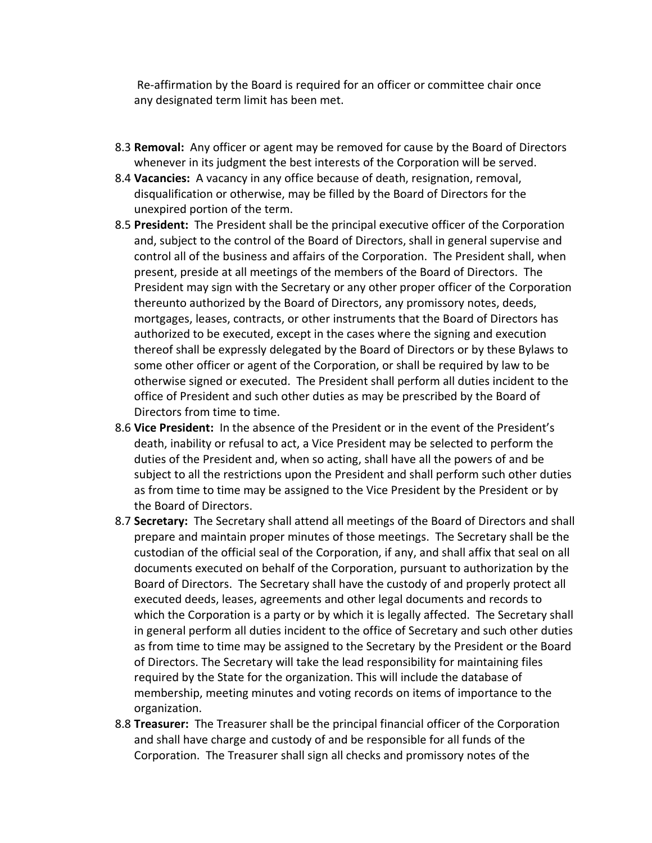Re-affirmation by the Board is required for an officer or committee chair once any designated term limit has been met.

- 8.3 **Removal:** Any officer or agent may be removed for cause by the Board of Directors whenever in its judgment the best interests of the Corporation will be served.
- 8.4 **Vacancies:** A vacancy in any office because of death, resignation, removal, disqualification or otherwise, may be filled by the Board of Directors for the unexpired portion of the term.
- 8.5 **President:** The President shall be the principal executive officer of the Corporation and, subject to the control of the Board of Directors, shall in general supervise and control all of the business and affairs of the Corporation. The President shall, when present, preside at all meetings of the members of the Board of Directors. The President may sign with the Secretary or any other proper officer of the Corporation thereunto authorized by the Board of Directors, any promissory notes, deeds, mortgages, leases, contracts, or other instruments that the Board of Directors has authorized to be executed, except in the cases where the signing and execution thereof shall be expressly delegated by the Board of Directors or by these Bylaws to some other officer or agent of the Corporation, or shall be required by law to be otherwise signed or executed. The President shall perform all duties incident to the office of President and such other duties as may be prescribed by the Board of Directors from time to time.
- 8.6 **Vice President:** In the absence of the President or in the event of the President's death, inability or refusal to act, a Vice President may be selected to perform the duties of the President and, when so acting, shall have all the powers of and be subject to all the restrictions upon the President and shall perform such other duties as from time to time may be assigned to the Vice President by the President or by the Board of Directors.
- 8.7 **Secretary:** The Secretary shall attend all meetings of the Board of Directors and shall prepare and maintain proper minutes of those meetings. The Secretary shall be the custodian of the official seal of the Corporation, if any, and shall affix that seal on all documents executed on behalf of the Corporation, pursuant to authorization by the Board of Directors. The Secretary shall have the custody of and properly protect all executed deeds, leases, agreements and other legal documents and records to which the Corporation is a party or by which it is legally affected. The Secretary shall in general perform all duties incident to the office of Secretary and such other duties as from time to time may be assigned to the Secretary by the President or the Board of Directors. The Secretary will take the lead responsibility for maintaining files required by the State for the organization. This will include the database of membership, meeting minutes and voting records on items of importance to the organization.
- 8.8 **Treasurer:** The Treasurer shall be the principal financial officer of the Corporation and shall have charge and custody of and be responsible for all funds of the Corporation. The Treasurer shall sign all checks and promissory notes of the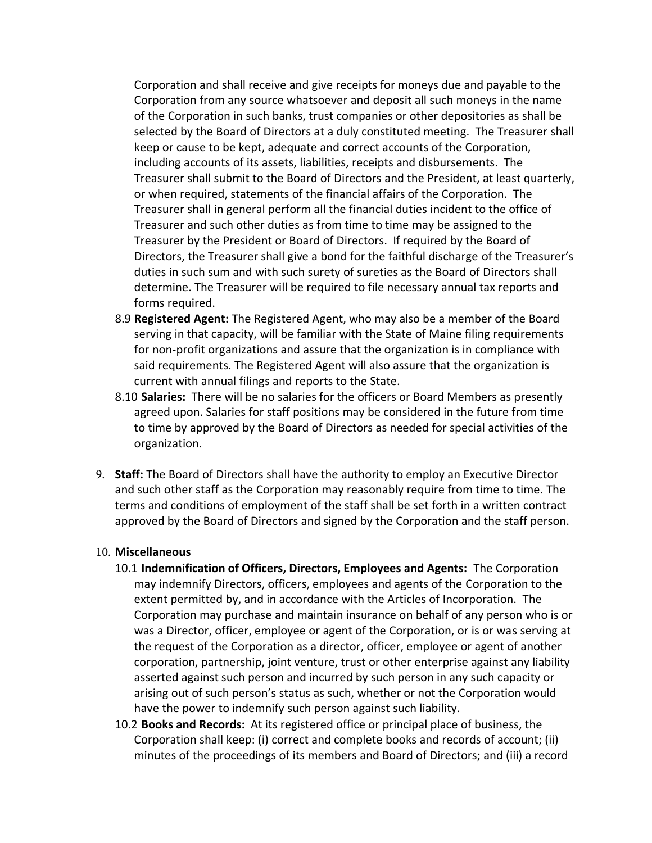Corporation and shall receive and give receipts for moneys due and payable to the Corporation from any source whatsoever and deposit all such moneys in the name of the Corporation in such banks, trust companies or other depositories as shall be selected by the Board of Directors at a duly constituted meeting. The Treasurer shall keep or cause to be kept, adequate and correct accounts of the Corporation, including accounts of its assets, liabilities, receipts and disbursements. The Treasurer shall submit to the Board of Directors and the President, at least quarterly, or when required, statements of the financial affairs of the Corporation. The Treasurer shall in general perform all the financial duties incident to the office of Treasurer and such other duties as from time to time may be assigned to the Treasurer by the President or Board of Directors. If required by the Board of Directors, the Treasurer shall give a bond for the faithful discharge of the Treasurer's duties in such sum and with such surety of sureties as the Board of Directors shall determine. The Treasurer will be required to file necessary annual tax reports and forms required.

- 8.9 **Registered Agent:** The Registered Agent, who may also be a member of the Board serving in that capacity, will be familiar with the State of Maine filing requirements for non-profit organizations and assure that the organization is in compliance with said requirements. The Registered Agent will also assure that the organization is current with annual filings and reports to the State.
- 8.10 **Salaries:** There will be no salaries for the officers or Board Members as presently agreed upon. Salaries for staff positions may be considered in the future from time to time by approved by the Board of Directors as needed for special activities of the organization.
- 9. **Staff:** The Board of Directors shall have the authority to employ an Executive Director and such other staff as the Corporation may reasonably require from time to time. The terms and conditions of employment of the staff shall be set forth in a written contract approved by the Board of Directors and signed by the Corporation and the staff person.

#### 10. **Miscellaneous**

- 10.1 **Indemnification of Officers, Directors, Employees and Agents:** The Corporation may indemnify Directors, officers, employees and agents of the Corporation to the extent permitted by, and in accordance with the Articles of Incorporation. The Corporation may purchase and maintain insurance on behalf of any person who is or was a Director, officer, employee or agent of the Corporation, or is or was serving at the request of the Corporation as a director, officer, employee or agent of another corporation, partnership, joint venture, trust or other enterprise against any liability asserted against such person and incurred by such person in any such capacity or arising out of such person's status as such, whether or not the Corporation would have the power to indemnify such person against such liability.
- 10.2 **Books and Records:** At its registered office or principal place of business, the Corporation shall keep: (i) correct and complete books and records of account; (ii) minutes of the proceedings of its members and Board of Directors; and (iii) a record